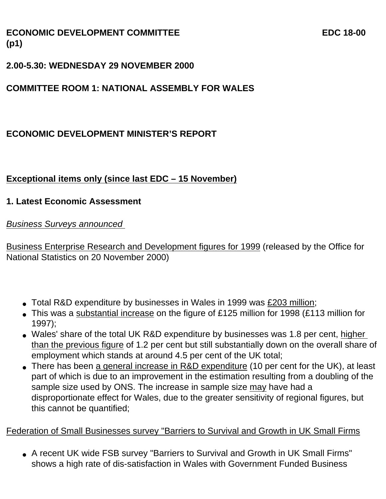## **ECONOMIC DEVELOPMENT COMMITTEE EXAMPLE EDG 18-00 (p1)**

### **2.00-5.30: WEDNESDAY 29 NOVEMBER 2000**

## **COMMITTEE ROOM 1: NATIONAL ASSEMBLY FOR WALES**

## **ECONOMIC DEVELOPMENT MINISTER'S REPORT**

# **Exceptional items only (since last EDC – 15 November)**

#### **1. Latest Economic Assessment**

*Business Surveys announced* 

Business Enterprise Research and Development figures for 1999 (released by the Office for National Statistics on 20 November 2000)

- Total R&D expenditure by businesses in Wales in 1999 was £203 million;
- This was a substantial increase on the figure of £125 million for 1998 (£113 million for 1997);
- Wales' share of the total UK R&D expenditure by businesses was 1.8 per cent, higher than the previous figure of 1.2 per cent but still substantially down on the overall share of employment which stands at around 4.5 per cent of the UK total;
- There has been a general increase in R&D expenditure (10 per cent for the UK), at least part of which is due to an improvement in the estimation resulting from a doubling of the sample size used by ONS. The increase in sample size may have had a disproportionate effect for Wales, due to the greater sensitivity of regional figures, but this cannot be quantified;

#### Federation of Small Businesses survey "Barriers to Survival and Growth in UK Small Firms

• A recent UK wide FSB survey "Barriers to Survival and Growth in UK Small Firms" shows a high rate of dis-satisfaction in Wales with Government Funded Business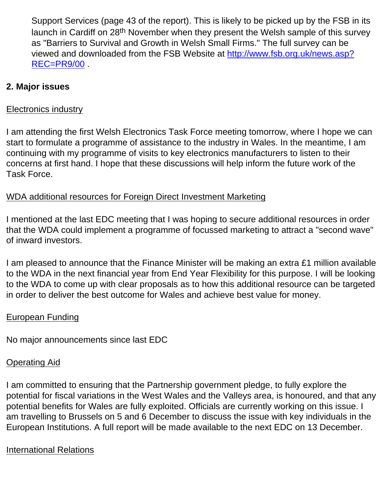Support Services (page 43 of the report). This is likely to be picked up by the FSB in its launch in Cardiff on 28<sup>th</sup> November when they present the Welsh sample of this survey as "Barriers to Survival and Growth in Welsh Small Firms." The full survey can be viewed and downloaded from the FSB Website at http://www.fsb.org.uk/news.asp? REC=PR9/00 .

### **2. Major issues**

#### Electronics industry

I am attending the first Welsh Electronics Task Force meeting tomorrow, where I hope we can start to formulate a programme of assistance to the industry in Wales. In the meantime, I am continuing with my programme of visits to key electronics manufacturers to listen to their concerns at first hand. I hope that these discussions will help inform the future work of the Task Force.

#### WDA additional resources for Foreign Direct Investment Marketing

I mentioned at the last EDC meeting that I was hoping to secure additional resources in order that the WDA could implement a programme of focussed marketing to attract a "second wave" of inward investors.

I am pleased to announce that the Finance Minister will be making an extra £1 million available to the WDA in the next financial year from End Year Flexibility for this purpose. I will be looking to the WDA to come up with clear proposals as to how this additional resource can be targeted in order to deliver the best outcome for Wales and achieve best value for money.

#### European Funding

No major announcements since last EDC

# Operating Aid

I am committed to ensuring that the Partnership government pledge, to fully explore the potential for fiscal variations in the West Wales and the Valleys area, is honoured, and that any potential benefits for Wales are fully exploited. Officials are currently working on this issue. I am travelling to Brussels on 5 and 6 December to discuss the issue with key individuals in the European Institutions. A full report will be made available to the next EDC on 13 December.

# International Relations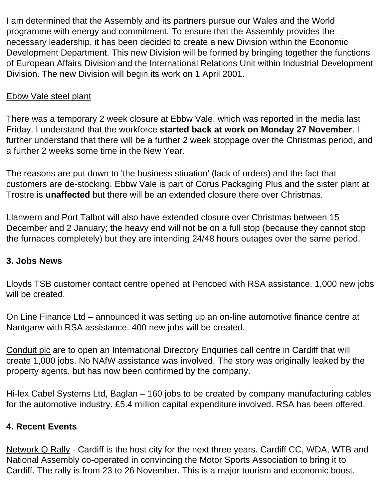I am determined that the Assembly and its partners pursue our Wales and the World programme with energy and commitment. To ensure that the Assembly provides the necessary leadership, it has been decided to create a new Division within the Economic Development Department. This new Division will be formed by bringing together the functions of European Affairs Division and the International Relations Unit within Industrial Development Division. The new Division will begin its work on 1 April 2001.

### Ebbw Vale steel plant

There was a temporary 2 week closure at Ebbw Vale, which was reported in the media last Friday. I understand that the workforce **started back at work on Monday 27 November**. I further understand that there will be a further 2 week stoppage over the Christmas period, and a further 2 weeks some time in the New Year.

The reasons are put down to 'the business stiuation' (lack of orders) and the fact that customers are de-stocking. Ebbw Vale is part of Corus Packaging Plus and the sister plant at Trostre is **unaffected** but there will be an extended closure there over Christmas.

Llanwern and Port Talbot will also have extended closure over Christmas between 15 December and 2 January; the heavy end will not be on a full stop (because they cannot stop the furnaces completely) but they are intending 24/48 hours outages over the same period.

#### **3. Jobs News**

Lloyds TSB customer contact centre opened at Pencoed with RSA assistance. 1,000 new jobs will be created.

On Line Finance Ltd – announced it was setting up an on-line automotive finance centre at Nantgarw with RSA assistance. 400 new jobs will be created.

Conduit plc are to open an International Directory Enquiries call centre in Cardiff that will create 1,000 jobs. No NAfW assistance was involved. The story was originally leaked by the property agents, but has now been confirmed by the company.

Hi-lex Cabel Systems Ltd, Baglan – 160 jobs to be created by company manufacturing cables for the automotive industry. £5.4 million capital expenditure involved. RSA has been offered.

## **4. Recent Events**

Network Q Rally - Cardiff is the host city for the next three years. Cardiff CC, WDA, WTB and National Assembly co-operated in convincing the Motor Sports Association to bring it to Cardiff. The rally is from 23 to 26 November. This is a major tourism and economic boost.